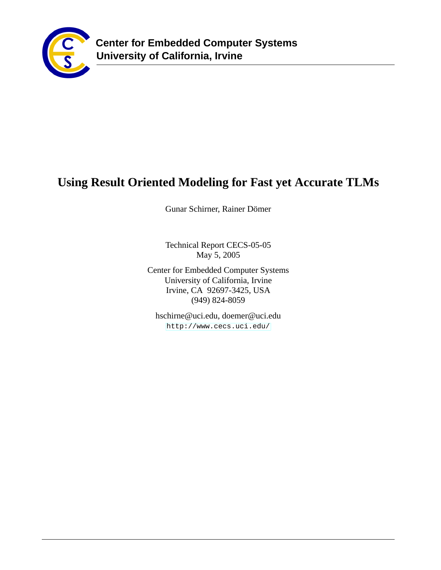

# **Using Result Oriented Modeling for Fast yet Accurate TLMs**

Gunar Schirner, Rainer Dömer

Technical Report CECS-05-05 May 5, 2005

Center for Embedded Computer Systems University of California, Irvine Irvine, CA 92697-3425, USA (949) 824-8059

hschirne@uci.edu, doemer@uci.edu <http://www.cecs.uci.edu/>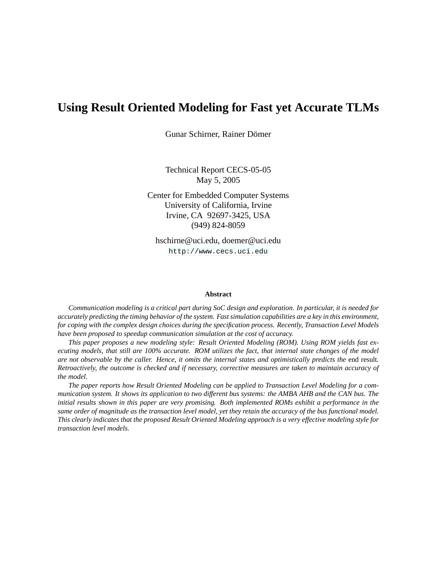# **Using Result Oriented Modeling for Fast yet Accurate TLMs**

Gunar Schirner, Rainer Dömer

Technical Report CECS-05-05 May 5, 2005

Center for Embedded Computer Systems University of California, Irvine Irvine, CA 92697-3425, USA (949) 824-8059

hschirne@uci.edu, doemer@uci.edu <http://www.cecs.uci.edu>

#### **Abstract**

*Communication modeling is a critical part during SoC design and exploration. In particular, it is needed for accurately predicting the timing behavior of the system. Fast simulation capabilities are a key in this environment, for coping with the complex design choices during the specification process. Recently, Transaction Level Models have been proposed to speedup communication simulation at the cost of accuracy.*

*This paper proposes a new modeling style: Result Oriented Modeling (ROM). Using ROM yields fast executing models, that still are 100% accurate. ROM utilizes the fact, that internal state changes of the model are not observable by the caller. Hence, it omits the internal states and optimistically predicts the* end result*. Retroactively, the outcome is checked and if necessary, corrective measures are taken to maintain accuracy of the model.*

*The paper reports how Result Oriented Modeling can be applied to Transaction Level Modeling for a communication system. It shows its application to two different bus systems: the AMBA AHB and the CAN bus. The initial results shown in this paper are very promising. Both implemented ROMs exhibit a performance in the same order of magnitude as the transaction level model, yet they retain the accuracy of the bus functional model. This clearly indicates that the proposed Result Oriented Modeling approach is a very effective modeling style for transaction level models.*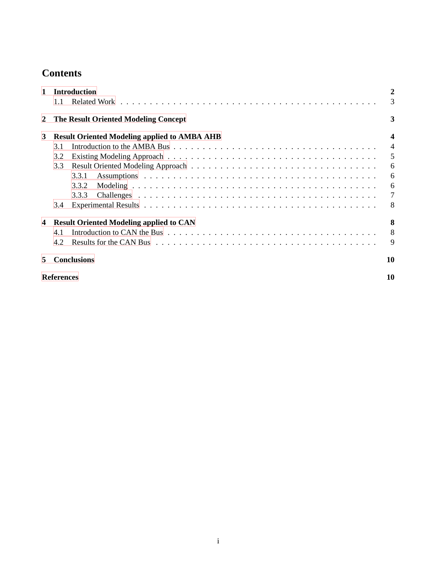# **Contents**

| 1.1<br><b>The Result Oriented Modeling Concept</b><br>2<br><b>Result Oriented Modeling applied to AMBA AHB</b><br>3<br>3.1<br>3.2<br>3.3<br>3.3.1<br>3.3.2<br>3.3.3<br>3.4<br><b>Result Oriented Modeling applied to CAN</b><br>$\overline{\mathbf{4}}$<br>4.1<br>4.2<br><b>Conclusions</b><br>5<br><b>References</b> | 1 | <b>Introduction</b> | 2                       |
|-----------------------------------------------------------------------------------------------------------------------------------------------------------------------------------------------------------------------------------------------------------------------------------------------------------------------|---|---------------------|-------------------------|
|                                                                                                                                                                                                                                                                                                                       |   |                     | 3                       |
|                                                                                                                                                                                                                                                                                                                       |   |                     | 3                       |
|                                                                                                                                                                                                                                                                                                                       |   |                     | $\overline{\mathbf{4}}$ |
|                                                                                                                                                                                                                                                                                                                       |   |                     | $\overline{4}$          |
|                                                                                                                                                                                                                                                                                                                       |   |                     | 5                       |
|                                                                                                                                                                                                                                                                                                                       |   |                     | 6                       |
|                                                                                                                                                                                                                                                                                                                       |   |                     | 6                       |
|                                                                                                                                                                                                                                                                                                                       |   |                     | 6                       |
|                                                                                                                                                                                                                                                                                                                       |   |                     | 7                       |
|                                                                                                                                                                                                                                                                                                                       |   |                     | 8                       |
|                                                                                                                                                                                                                                                                                                                       |   |                     | 8                       |
|                                                                                                                                                                                                                                                                                                                       |   |                     | 8                       |
|                                                                                                                                                                                                                                                                                                                       |   |                     | 9                       |
|                                                                                                                                                                                                                                                                                                                       |   |                     | 10                      |
|                                                                                                                                                                                                                                                                                                                       |   |                     | 10                      |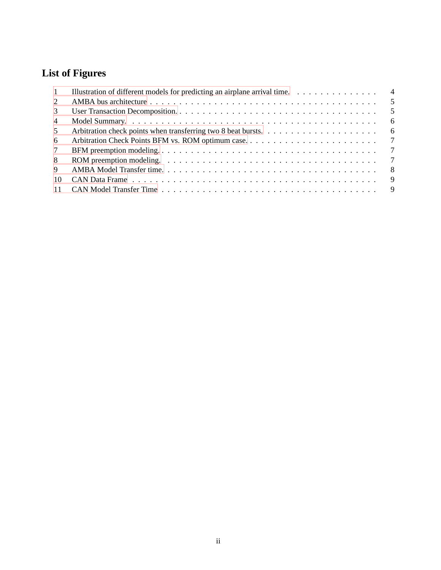# **List of Figures**

| -1             | Illustration of different models for predicting an airplane arrival time.<br>$\overline{4}$                                            |
|----------------|----------------------------------------------------------------------------------------------------------------------------------------|
| 2              |                                                                                                                                        |
| 3              |                                                                                                                                        |
| $\overline{4}$ | 6                                                                                                                                      |
| 5              |                                                                                                                                        |
| -6             |                                                                                                                                        |
| 7              | $\overline{7}$                                                                                                                         |
| 8              | $\overline{7}$<br>ROM preemption modeling. $\dots \dots \dots \dots \dots \dots \dots \dots \dots \dots \dots \dots \dots \dots \dots$ |
| 9              |                                                                                                                                        |
| 10             |                                                                                                                                        |
|                |                                                                                                                                        |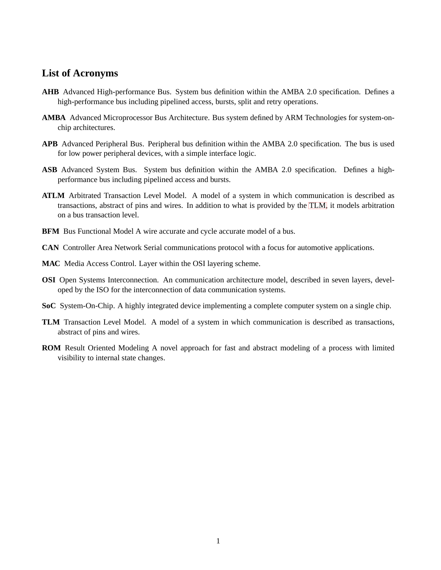## **List of Acronyms**

- <span id="page-4-6"></span>**AHB** Advanced High-performance Bus. System bus definition within the AMBA 2.0 specification. Defines a high-performance bus including pipelined access, bursts, split and retry operations.
- <span id="page-4-3"></span>**AMBA** Advanced Microprocessor Bus Architecture. Bus system defined by ARM Technologies for system-onchip architectures.
- **APB** Advanced Peripheral Bus. Peripheral bus definition within the AMBA 2.0 specification. The bus is used for low power peripheral devices, with a simple interface logic.
- **ASB** Advanced System Bus. System bus definition within the AMBA 2.0 specification. Defines a highperformance bus including pipelined access and bursts.
- <span id="page-4-4"></span>**ATLM** Arbitrated Transaction Level Model. A model of a system in which communication is described as transactions, abstract of pins and wires. In addition to what is provided by the [TLM,](#page-4-0) it models arbitration on a bus transaction level.
- <span id="page-4-5"></span>**BFM** Bus Functional Model A wire accurate and cycle accurate model of a bus.
- <span id="page-4-2"></span>**CAN** Controller Area Network Serial communications protocol with a focus for automotive applications.
- **MAC** Media Access Control. Layer within the OSI layering scheme.
- **OSI** Open Systems Interconnection. An communication architecture model, described in seven layers, developed by the ISO for the interconnection of data communication systems.
- **SoC** System-On-Chip. A highly integrated device implementing a complete computer system on a single chip.
- <span id="page-4-0"></span>**TLM** Transaction Level Model. A model of a system in which communication is described as transactions, abstract of pins and wires.
- <span id="page-4-1"></span>**ROM** Result Oriented Modeling A novel approach for fast and abstract modeling of a process with limited visibility to internal state changes.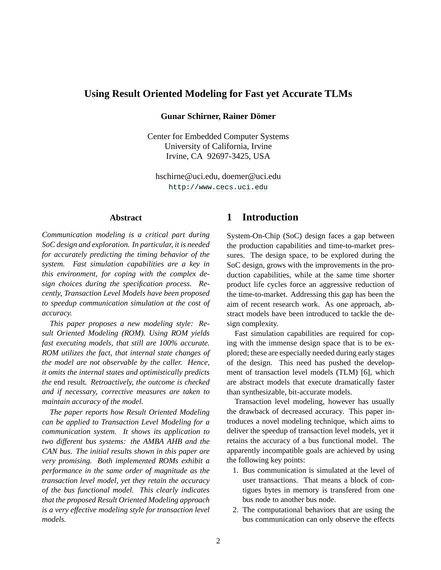## **Using Result Oriented Modeling for Fast yet Accurate TLMs**

#### **Gunar Schirner, Rainer Dömer**

Center for Embedded Computer Systems University of California, Irvine Irvine, CA 92697-3425, USA

<span id="page-5-0"></span>hschirne@uci.edu, doemer@uci.edu <http://www.cecs.uci.edu>

### **Abstract**

*Communication modeling is a critical part during SoC design and exploration. In particular, it is needed for accurately predicting the timing behavior of the system. Fast simulation capabilities are a key in this environment, for coping with the complex design choices during the specification process. Recently, Transaction Level Models have been proposed to speedup communication simulation at the cost of accuracy.*

*This paper proposes a new modeling style: Result Oriented Modeling (ROM). Using ROM yields fast executing models, that still are 100% accurate. ROM utilizes the fact, that internal state changes of the model are not observable by the caller. Hence, it omits the internal states and optimistically predicts the* end result*. Retroactively, the outcome is checked and if necessary, corrective measures are taken to maintain accuracy of the model.*

*The paper reports how Result Oriented Modeling can be applied to Transaction Level Modeling for a communication system. It shows its application to two different bus systems: the AMBA AHB and the CAN bus. The initial results shown in this paper are very promising. Both implemented ROMs exhibit a performance in the same order of magnitude as the transaction level model, yet they retain the accuracy of the bus functional model. This clearly indicates that the proposed Result Oriented Modeling approach is a very effective modeling style for transaction level models.*

## **1 Introduction**

System-On-Chip (SoC) design faces a gap between the production capabilities and time-to-market pressures. The design space, to be explored during the SoC design, grows with the improvements in the production capabilities, while at the same time shorter product life cycles force an aggressive reduction of the time-to-market. Addressing this gap has been the aim of recent research work. As one approach, abstract models have been introduced to tackle the design complexity.

Fast simulation capabilities are required for coping with the immense design space that is to be explored; these are especially needed during early stages of the design. This need has pushed the development of transaction level models (TLM) [\[6\]](#page-13-2), which are abstract models that execute dramatically faster than synthesizable, bit-accurate models.

Transaction level modeling, however has usually the drawback of decreased accuracy. This paper introduces a novel modeling technique, which aims to deliver the speedup of transaction level models, yet it retains the accuracy of a bus functional model. The apparently incompatible goals are achieved by using the following key points:

- 1. Bus communication is simulated at the level of user transactions. That means a block of contigues bytes in memory is transfered from one bus node to another bus node.
- 2. The computational behaviors that are using the bus communication can only observe the effects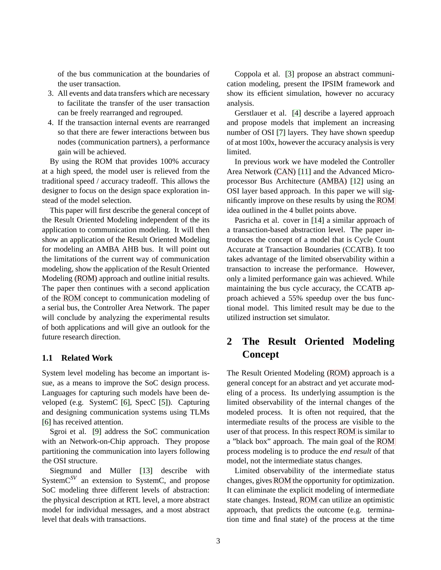of the bus communication at the boundaries of the user transaction.

- 3. All events and data transfers which are necessary to facilitate the transfer of the user transaction can be freely rearranged and regrouped.
- 4. If the transaction internal events are rearranged so that there are fewer interactions between bus nodes (communication partners), a performance gain will be achieved.

By using the ROM that provides 100% accuracy at a high speed, the model user is relieved from the traditional speed / accuracy tradeoff. This allows the designer to focus on the design space exploration instead of the model selection.

This paper will first describe the general concept of the Result Oriented Modeling independent of the its application to communication modeling. It will then show an application of the Result Oriented Modeling for modeling an AMBA AHB bus. It will point out the limitations of the current way of communication modeling, show the application of the Result Oriented Modeling [\(ROM\)](#page-4-1) approach and outline initial results. The paper then continues with a second application of the [ROM](#page-4-1) concept to communication modeling of a serial bus, the Controller Area Network. The paper will conclude by analyzing the experimental results of both applications and will give an outlook for the future research direction.

## <span id="page-6-0"></span>**1.1 Related Work**

System level modeling has become an important issue, as a means to improve the SoC design process. Languages for capturing such models have been developed (e.g. SystemC [\[6\]](#page-13-2), SpecC [\[5\]](#page-13-3)). Capturing and designing communication systems using TLMs [\[6\]](#page-13-2) has received attention.

Sgroi et al. [\[9\]](#page-13-4) address the SoC communication with an Network-on-Chip approach. They propose partitioning the communication into layers following the OSI structure.

Siegmund and Müller [\[13\]](#page-14-0) describe with SystemC*SV* an extension to SystemC, and propose SoC modeling three different levels of abstraction: the physical description at RTL level, a more abstract model for individual messages, and a most abstract level that deals with transactions.

Coppola et al. [\[3\]](#page-13-5) propose an abstract communication modeling, present the IPSIM framework and show its efficient simulation, however no accuracy analysis.

Gerstlauer et al. [\[4\]](#page-13-6) describe a layered approach and propose models that implement an increasing number of OSI [\[7\]](#page-13-7) layers. They have shown speedup of at most 100x, however the accuracy analysis is very limited.

In previous work we have modeled the Controller Area Network [\(CAN\)](#page-4-2) [\[11\]](#page-13-8) and the Advanced Microprocessor Bus Architecture [\(AMBA\)](#page-4-3) [\[12\]](#page-14-1) using an OSI layer based approach. In this paper we will significantly improve on these results by using the [ROM](#page-4-1) idea outlined in the 4 bullet points above.

Pasricha et al. cover in [\[14\]](#page-14-2) a similar approach of a transaction-based abstraction level. The paper introduces the concept of a model that is Cycle Count Accurate at Transaction Boundaries (CCATB). It too takes advantage of the limited observability within a transaction to increase the performance. However, only a limited performance gain was achieved. While maintaining the bus cycle accuracy, the CCATB approach achieved a 55% speedup over the bus functional model. This limited result may be due to the utilized instruction set simulator.

# <span id="page-6-1"></span>**2 The Result Oriented Modeling Concept**

The Result Oriented Modeling [\(ROM\)](#page-4-1) approach is a general concept for an abstract and yet accurate modeling of a process. Its underlying assumption is the limited observability of the internal changes of the modeled process. It is often not required, that the intermediate results of the process are visible to the user of that process. In this respect [ROM](#page-4-1) is similar to a "black box" approach. The main goal of the [ROM](#page-4-1) process modeling is to produce the *end result* of that model, not the intermediate status changes.

Limited observability of the intermediate status changes, gives [ROM](#page-4-1) the opportunity for optimization. It can eliminate the explicit modeling of intermediate state changes. Instead, [ROM](#page-4-1) can utilize an optimistic approach, that predicts the outcome (e.g. termination time and final state) of the process at the time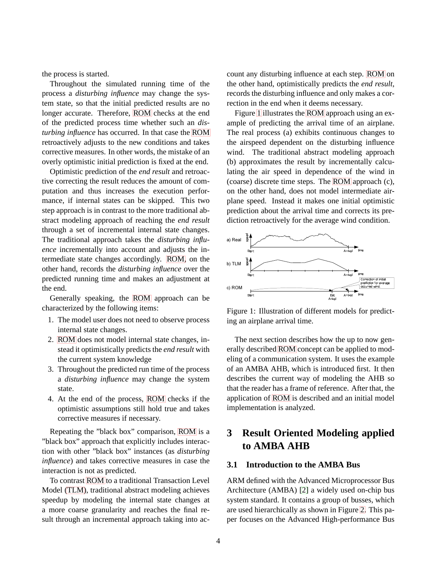the process is started.

Throughout the simulated running time of the process a *disturbing influence* may change the system state, so that the initial predicted results are no longer accurate. Therefore, [ROM](#page-4-1) checks at the end of the predicted process time whether such an *disturbing influence* has occurred. In that case the [ROM](#page-4-1) retroactively adjusts to the new conditions and takes corrective measures. In other words, the mistake of an overly optimistic initial prediction is fixed at the end.

Optimistic prediction of the *end result* and retroactive correcting the result reduces the amount of computation and thus increases the execution performance, if internal states can be skipped. This two step approach is in contrast to the more traditional abstract modeling approach of reaching the *end result* through a set of incremental internal state changes. The traditional approach takes the *disturbing influence* incrementally into account and adjusts the intermediate state changes accordingly. [ROM,](#page-4-1) on the other hand, records the *disturbing influence* over the predicted running time and makes an adjustment at the end.

Generally speaking, the [ROM](#page-4-1) approach can be characterized by the following items:

- 1. The model user does not need to observe process internal state changes.
- 2. [ROM](#page-4-1) does not model internal state changes, instead it optimistically predicts the *end result* with the current system knowledge
- 3. Throughout the predicted run time of the process a *disturbing influence* may change the system state.
- <span id="page-7-2"></span>4. At the end of the process, [ROM](#page-4-1) checks if the optimistic assumptions still hold true and takes corrective measures if necessary.

Repeating the "black box" comparison, [ROM](#page-4-1) is a "black box" approach that explicitly includes interaction with other "black box" instances (as *disturbing influence*) and takes corrective measures in case the interaction is not as predicted.

To contrast [ROM](#page-4-1) to a traditional Transaction Level Model [\(TLM\)](#page-4-0), traditional abstract modeling achieves speedup by modeling the internal state changes at a more coarse granularity and reaches the final result through an incremental approach taking into account any disturbing influence at each step. [ROM](#page-4-1) on the other hand, optimistically predicts the *end result*, records the disturbing influence and only makes a correction in the end when it deems necessary.

Figure [1](#page-7-2) illustrates the [ROM](#page-4-1) approach using an example of predicting the arrival time of an airplane. The real process (a) exhibits continuous changes to the airspeed dependent on the disturbing influence wind. The traditional abstract modeling approach (b) approximates the result by incrementally calculating the air speed in dependence of the wind in (coarse) discrete time steps. The [ROM](#page-4-1) approach (c), on the other hand, does not model intermediate airplane speed. Instead it makes one initial optimistic prediction about the arrival time and corrects its prediction retroactively for the average wind condition.



Figure 1: Illustration of different models for predicting an airplane arrival time.

The next section describes how the up to now generally described [ROM](#page-4-1) concept can be applied to modeling of a communication system. It uses the example of an AMBA AHB, which is introduced first. It then describes the current way of modeling the AHB so that the reader has a frame of reference. After that, the application of [ROM](#page-4-1) is described and an initial model implementation is analyzed.

# <span id="page-7-0"></span>**3 Result Oriented Modeling applied to AMBA AHB**

## <span id="page-7-1"></span>**3.1 Introduction to the AMBA Bus**

ARM defined with the Advanced Microprocessor Bus Architecture (AMBA) [\[2\]](#page-13-9) a widely used on-chip bus system standard. It contains a group of busses, which are used hierarchically as shown in Figure [2.](#page-7-1) This paper focuses on the Advanced High-performance Bus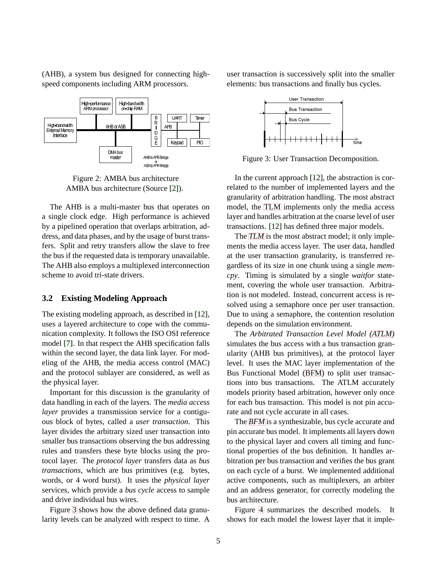(AHB), a system bus designed for connecting highspeed components including ARM processors.





The AHB is a multi-master bus that operates on a single clock edge. High performance is achieved by a pipelined operation that overlaps arbitration, address, and data phases, and by the usage of burst transfers. Split and retry transfers allow the slave to free the bus if the requested data is temporary unavailable. The AHB also employs a multiplexed interconnection scheme to avoid tri-state drivers.

#### <span id="page-8-0"></span>**3.2 Existing Modeling Approach**

The existing modeling approach, as described in [\[12\]](#page-14-1), uses a layered architecture to cope with the communication complexity. It follows the ISO OSI reference model [\[7\]](#page-13-7). In that respect the AHB specification falls within the second layer, the data link layer. For modeling of the AHB, the media access control (MAC) and the protocol sublayer are considered, as well as the physical layer.

Important for this discussion is the granularity of data handling in each of the layers. The *media access layer* provides a transmission service for a contiguous block of bytes, called a *user transaction*. This layer divides the arbitrary sized user transaction into smaller bus transactions observing the bus addressing rules and transfers these byte blocks using the protocol layer. The *protocol layer* transfers data as *bus transactions*, which are bus primitives (e.g. bytes, words, or 4 word burst). It uses the *physical layer* services, which provide a *bus cycle* access to sample and drive individual bus wires.

Figure [3](#page-8-0) shows how the above defined data granularity levels can be analyzed with respect to time. A user transaction is successively split into the smaller elements: bus transactions and finally bus cycles.



Figure 3: User Transaction Decomposition.

In the current approach [\[12\]](#page-14-1), the abstraction is correlated to the number of implemented layers and the granularity of arbitration handling. The most abstract model, the [TLM](#page-4-0) implements only the media access layer and handles arbitration at the coarse level of user transactions. [\[12\]](#page-14-1) has defined three major models.

The *[TLM](#page-4-0)* is the most abstract model; it only implements the media access layer. The user data, handled at the user transaction granularity, is transferred regardless of its size in one chunk using a single *memcpy*. Timing is simulated by a single *waitfor* statement, covering the whole user transaction. Arbitration is not modeled. Instead, concurrent access is resolved using a semaphore once per user transaction. Due to using a semaphore, the contention resolution depends on the simulation environment.

The *Arbitrated Transaction Level Model [\(ATLM\)](#page-4-4)* simulates the bus access with a bus transaction granularity (AHB bus primitives), at the protocol layer level. It uses the MAC layer implementation of the Bus Functional Model [\(BFM\)](#page-4-5) to split user transactions into bus transactions. The ATLM accurately models priority based arbitration, however only once for each bus transaction. This model is not pin accurate and not cycle accurate in all cases.

The *[BFM](#page-4-5)* is a synthesizable, bus cycle accurate and pin accurate bus model. It implements all layers down to the physical layer and covers all timing and functional properties of the bus definition. It handles arbitration per bus transaction and verifies the bus grant on each cycle of a burst. We implemented additional active components, such as multiplexers, an arbiter and an address generator, for correctly modeling the bus architecture.

Figure [4](#page-8-0) summarizes the described models. It shows for each model the lowest layer that it imple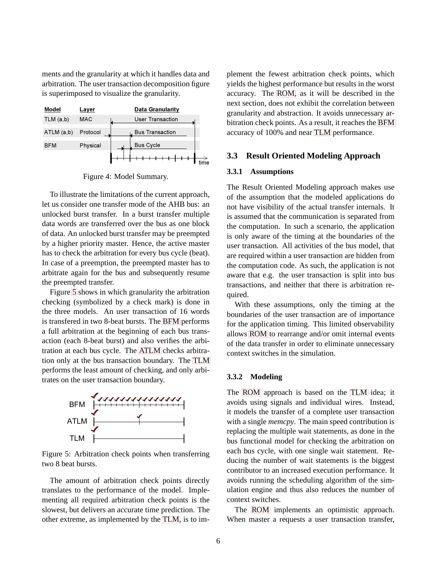ments and the granularity at which it handles data and arbitration. The user transaction decomposition figure is superimposed to visualize the granularity.



Figure 4: Model Summary.

To illustrate the limitations of the current approach, let us consider one transfer mode of the AHB bus: an unlocked burst transfer. In a burst transfer multiple data words are transferred over the bus as one block of data. An unlocked burst transfer may be preempted by a higher priority master. Hence, the active master has to check the arbitration for every bus cycle (beat). In case of a preemption, the preempted master has to arbitrate again for the bus and subsequently resume the preempted transfer.

Figure [5](#page-8-0) shows in which granularity the arbitration checking (symbolized by a check mark) is done in the three models. An user transaction of 16 words is transfered in two 8-beat bursts. The [BFM](#page-4-5) performs a full arbitration at the beginning of each bus transaction (each 8-beat burst) and also verifies the arbitration at each bus cycle. The [ATLM](#page-4-4) checks arbitration only at the bus transaction boundary. The [TLM](#page-4-0) performs the least amount of checking, and only arbitrates on the user transaction boundary.



Figure 5: Arbitration check points when transferring two 8 beat bursts.

The amount of arbitration check points directly translates to the performance of the model. Implementing all required arbitration check points is the slowest, but delivers an accurate time prediction. The other extreme, as implemented by the [TLM,](#page-4-0) is to implement the fewest arbitration check points, which yields the highest performance but results in the worst accuracy. The [ROM,](#page-4-1) as it will be described in the next section, does not exhibit the correlation between granularity and abstraction. It avoids unnecessary arbitration check points. As a result, it reaches the [BFM](#page-4-5) accuracy of 100% and near [TLM](#page-4-0) performance.

### <span id="page-9-1"></span><span id="page-9-0"></span>**3.3 Result Oriented Modeling Approach**

#### **3.3.1 Assumptions**

The Result Oriented Modeling approach makes use of the assumption that the modeled applications do not have visibility of the actual transfer internals. It is assumed that the communication is separated from the computation. In such a scenario, the application is only aware of the timing at the boundaries of the user transaction. All activities of the bus model, that are required within a user transaction are hidden from the computation code. As such, the application is not aware that e.g. the user transaction is split into bus transactions, and neither that there is arbitration required.

With these assumptions, only the timing at the boundaries of the user transaction are of importance for the application timing. This limited observability allows [ROM](#page-4-1) to rearrange and/or omit internal events of the data transfer in order to eliminate unnecessary context switches in the simulation.

#### <span id="page-9-2"></span>**3.3.2 Modeling**

The [ROM](#page-4-1) approach is based on the [TLM](#page-4-0) idea; it avoids using signals and individual wires. Instead, it models the transfer of a complete user transaction with a single *memcpy*. The main speed contribution is replacing the multiple wait statements, as done in the bus functional model for checking the arbitration on each bus cycle, with one single wait statement. Reducing the number of wait statements is the biggest contributor to an increased execution performance. It avoids running the scheduling algorithm of the simulation engine and thus also reduces the number of context switches.

The [ROM](#page-4-1) implements an optimistic approach. When master a requests a user transaction transfer,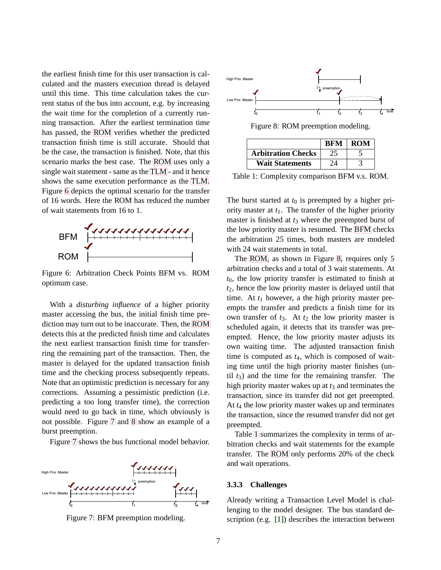the earliest finish time for this user transaction is calculated and the masters execution thread is delayed until this time. This time calculation takes the current status of the bus into account, e.g. by increasing the wait time for the completion of a currently running transaction. After the earliest termination time has passed, the [ROM](#page-4-1) verifies whether the predicted transaction finish time is still accurate. Should that be the case, the transaction is finished. Note, that this scenario marks the best case. The [ROM](#page-4-1) uses only a single wait statement - same as the [TLM](#page-4-0) - and it hence shows the same execution performance as the [TLM.](#page-4-0) Figure [6](#page-9-2) depicts the optimal scenario for the transfer of 16 words. Here the ROM has reduced the number of wait statements from 16 to 1.



Figure 6: Arbitration Check Points BFM vs. ROM optimum case.

With a *disturbing influence* of a higher priority master accessing the bus, the initial finish time prediction may turn out to be inaccurate. Then, the [ROM](#page-4-1) detects this at the predicted finish time and calculates the next earliest transaction finish time for transferring the remaining part of the transaction. Then, the master is delayed for the updated transaction finish time and the checking process subsequently repeats. Note that an optimistic prediction is necessary for any corrections. Assuming a pessimistic prediction (i.e. predicting a too long transfer time), the correction would need to go back in time, which obviously is not possible. Figure [7](#page-9-2) and [8](#page-9-2) show an example of a burst preemption.

Figure [7](#page-9-2) shows the bus functional model behavior.



Figure 7: BFM preemption modeling.



Figure 8: ROM preemption modeling.

|                           | <b>BFM</b> | <b>ROM</b> |
|---------------------------|------------|------------|
| <b>Arbitration Checks</b> |            |            |
| <b>Wait Statements</b>    | 24         |            |

Table 1: Complexity comparison BFM v.s. ROM.

The burst started at  $t_0$  is preempted by a higher priority master at  $t_1$ . The transfer of the higher priority master is finished at  $t_3$  where the preempted burst of the low priority master is resumed. The [BFM](#page-4-5) checks the arbitration 25 times, both masters are modeled with 24 wait statements in total.

The [ROM,](#page-4-1) as shown in Figure [8,](#page-9-2) requires only 5 arbitration checks and a total of 3 wait statements. At *t*0, the low priority transfer is estimated to finish at *t*2, hence the low priority master is delayed until that time. At  $t_1$  however, a the high priority master preempts the transfer and predicts a finish time for its own transfer of  $t_3$ . At  $t_2$  the low priority master is scheduled again, it detects that its transfer was preempted. Hence, the low priority master adjusts its own waiting time. The adjusted transaction finish time is computed as *t*4, which is composed of waiting time until the high priority master finishes (until  $t_3$ ) and the time for the remaining transfer. The high priority master wakes up at  $t_3$  and terminates the transaction, since its transfer did not get preempted. At *t*<sup>4</sup> the low priority master wakes up and terminates the transaction, since the resumed transfer did not get preempted.

Table [1](#page-9-2) summarizes the complexity in terms of arbitration checks and wait statements for the example transfer. The [ROM](#page-4-1) only performs 20% of the check and wait operations.

#### <span id="page-10-0"></span>**3.3.3 Challenges**

Already writing a Transaction Level Model is challenging to the model designer. The bus standard description (e.g. [\[1\]](#page-13-10)) describes the interaction between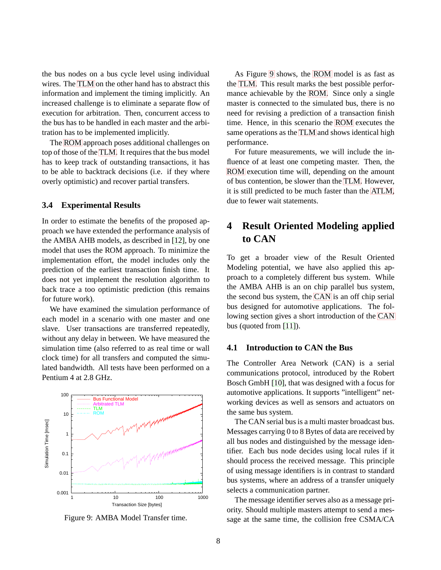the bus nodes on a bus cycle level using individual wires. The [TLM](#page-4-0) on the other hand has to abstract this information and implement the timing implicitly. An increased challenge is to eliminate a separate flow of execution for arbitration. Then, concurrent access to the bus has to be handled in each master and the arbitration has to be implemented implicitly.

The [ROM](#page-4-1) approach poses additional challenges on top of those of the [TLM.](#page-4-0) It requires that the bus model has to keep track of outstanding transactions, it has to be able to backtrack decisions (i.e. if they where overly optimistic) and recover partial transfers.

#### <span id="page-11-0"></span>**3.4 Experimental Results**

In order to estimate the benefits of the proposed approach we have extended the performance analysis of the AMBA AHB models, as described in [\[12\]](#page-14-1), by one model that uses the ROM approach. To minimize the implementation effort, the model includes only the prediction of the earliest transaction finish time. It does not yet implement the resolution algorithm to back trace a too optimistic prediction (this remains for future work).

We have examined the simulation performance of each model in a scenario with one master and one slave. User transactions are transferred repeatedly, without any delay in between. We have measured the simulation time (also referred to as real time or wall clock time) for all transfers and computed the simulated bandwidth. All tests have been performed on a Pentium 4 at 2.8 GHz.



Figure 9: AMBA Model Transfer time.

As Figure [9](#page-11-0) shows, the [ROM](#page-4-1) model is as fast as the [TLM.](#page-4-0) This result marks the best possible performance achievable by the [ROM.](#page-4-1) Since only a single master is connected to the simulated bus, there is no need for revising a prediction of a transaction finish time. Hence, in this scenario the [ROM](#page-4-1) executes the same operations as the [TLM](#page-4-0) and shows identical high performance.

For future measurements, we will include the influence of at least one competing master. Then, the [ROM](#page-4-1) execution time will, depending on the amount of bus contention, be slower than the [TLM.](#page-4-0) However, it is still predicted to be much faster than the [ATLM,](#page-4-4) due to fewer wait statements.

# <span id="page-11-1"></span>**4 Result Oriented Modeling applied to CAN**

To get a broader view of the Result Oriented Modeling potential, we have also applied this approach to a completely different bus system. While the AMBA AHB is an on chip parallel bus system, the second bus system, the [CAN](#page-4-2) is an off chip serial bus designed for automotive applications. The following section gives a short introduction of the [CAN](#page-4-2) bus (quoted from [\[11\]](#page-13-8)).

#### <span id="page-11-2"></span>**4.1 Introduction to CAN the Bus**

The Controller Area Network (CAN) is a serial communications protocol, introduced by the Robert Bosch GmbH [\[10\]](#page-13-11), that was designed with a focus for automotive applications. It supports "intelligent" networking devices as well as sensors and actuators on the same bus system.

The CAN serial bus is a multi master broadcast bus. Messages carrying 0 to 8 Bytes of data are received by all bus nodes and distinguished by the message identifier. Each bus node decides using local rules if it should process the received message. This principle of using message identifiers is in contrast to standard bus systems, where an address of a transfer uniquely selects a communication partner.

The message identifier serves also as a message priority. Should multiple masters attempt to send a message at the same time, the collision free CSMA/CA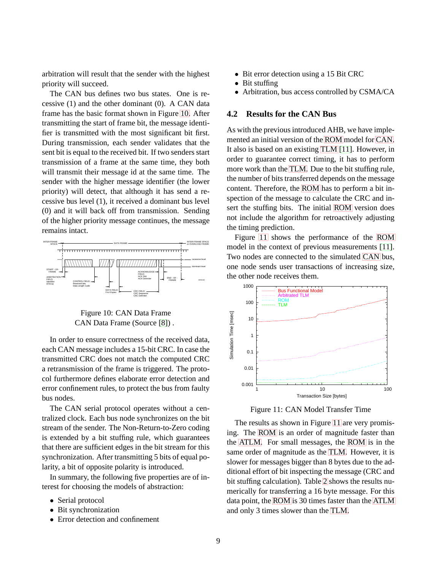arbitration will result that the sender with the highest priority will succeed.

The CAN bus defines two bus states. One is recessive (1) and the other dominant (0). A CAN data frame has the basic format shown in Figure [10.](#page-11-2) After transmitting the start of frame bit, the message identifier is transmitted with the most significant bit first. During transmission, each sender validates that the sent bit is equal to the received bit. If two senders start transmission of a frame at the same time, they both will transmit their message id at the same time. The sender with the higher message identifier (the lower priority) will detect, that although it has send a recessive bus level (1), it received a dominant bus level (0) and it will back off from transmission. Sending of the higher priority message continues, the message remains intact.



Figure 10: CAN Data Frame CAN Data Frame (Source [\[8\]](#page-13-12)) .

In order to ensure correctness of the received data, each CAN message includes a 15-bit CRC. In case the transmitted CRC does not match the computed CRC a retransmission of the frame is triggered. The protocol furthermore defines elaborate error detection and error confinement rules, to protect the bus from faulty bus nodes.

The CAN serial protocol operates without a centralized clock. Each bus node synchronizes on the bit stream of the sender. The Non-Return-to-Zero coding is extended by a bit stuffing rule, which guarantees that there are sufficient edges in the bit stream for this synchronization. After transmitting 5 bits of equal polarity, a bit of opposite polarity is introduced.

In summary, the following five properties are of interest for choosing the models of abstraction:

- Serial protocol
- Bit synchronization
- Error detection and confinement
- Bit error detection using a 15 Bit CRC
- Bit stuffing
- Arbitration, bus access controlled by CSMA/CA

### <span id="page-12-0"></span>**4.2 Results for the CAN Bus**

As with the previous introduced AHB, we have implemented an initial version of the [ROM](#page-4-1) model for [CAN.](#page-4-2) It also is based on an existing [TLM](#page-4-0) [\[11\]](#page-13-8). However, in order to guarantee correct timing, it has to perform more work than the [TLM.](#page-4-0) Due to the bit stuffing rule, the number of bits transferred depends on the message content. Therefore, the [ROM](#page-4-1) has to perform a bit inspection of the message to calculate the CRC and insert the stuffing bits. The initial [ROM](#page-4-1) version does not include the algorithm for retroactively adjusting the timing prediction.

Figure [11](#page-12-0) shows the performance of the [ROM](#page-4-1) model in the context of previous measurements [\[11\]](#page-13-8). Two nodes are connected to the simulated [CAN](#page-4-2) bus, one node sends user transactions of increasing size, the other node receives them.



Figure 11: CAN Model Transfer Time

The results as shown in Figure [11](#page-12-0) are very promising. The [ROM](#page-4-1) is an order of magnitude faster than the [ATLM.](#page-4-4) For small messages, the [ROM](#page-4-1) is in the same order of magnitude as the [TLM.](#page-4-0) However, it is slower for messages bigger than 8 bytes due to the additional effort of bit inspecting the message (CRC and bit stuffing calculation). Table [2](#page-12-0) shows the results numerically for transferring a 16 byte message. For this data point, the [ROM](#page-4-1) is 30 times faster than the [ATLM](#page-4-4) and only 3 times slower than the [TLM.](#page-4-0)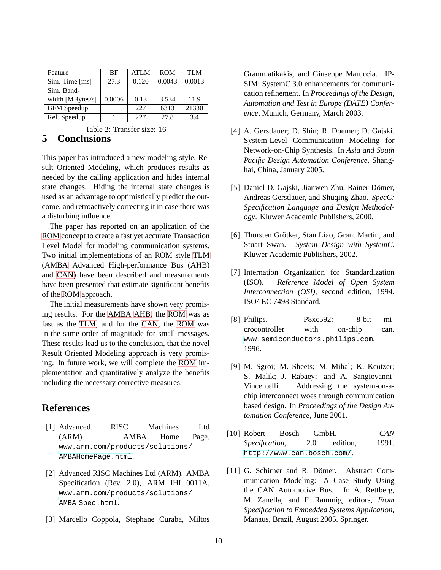| Feature            | <b>BF</b> | <b>ATLM</b> | <b>ROM</b> | TI M   |
|--------------------|-----------|-------------|------------|--------|
| Sim. Time [ms]     | 27.3      | 0.120       | 0.0043     | 0.0013 |
| Sim. Band-         |           |             |            |        |
| width [MBytes/s]   | 0.0006    | 0.13        | 3.534      | 11.9   |
| <b>BFM</b> Speedup |           | 227         | 6313       | 21330  |
| Rel. Speedup       |           | 227         | 27.8       | 3.4    |

Table 2: Transfer size: 16

# <span id="page-13-0"></span>**5 Conclusions**

This paper has introduced a new modeling style, Result Oriented Modeling, which produces results as needed by the calling application and hides internal state changes. Hiding the internal state changes is used as an advantage to optimistically predict the outcome, and retroactively correcting it in case there was a disturbing influence.

The paper has reported on an application of the [ROM](#page-4-1) concept to create a fast yet accurate Transaction Level Model for modeling communication systems. Two initial implementations of an [ROM](#page-4-1) style [TLM](#page-4-0) [\(AMBA](#page-4-3) Advanced High-performance Bus [\(AHB\)](#page-4-6) and [CAN\)](#page-4-2) have been described and measurements have been presented that estimate significant benefits of the [ROM](#page-4-1) approach.

The initial measurements have shown very promising results. For the [AMBA](#page-4-3) [AHB,](#page-4-6) the [ROM](#page-4-1) was as fast as the [TLM,](#page-4-0) and for the [CAN,](#page-4-2) the [ROM](#page-4-1) was in the same order of magnitude for small messages. These results lead us to the conclusion, that the novel Result Oriented Modeling approach is very promising. In future work, we will complete the [ROM](#page-4-1) implementation and quantitatively analyze the benefits including the necessary corrective measures.

## <span id="page-13-10"></span><span id="page-13-1"></span>**References**

- [1] Advanced RISC Machines Ltd (ARM). AMBA Home Page. www.arm.com/products/solutions/ [AMBAHomePage.html](www.arm.com/products/solutions/ AMBAHomePage.html).
- <span id="page-13-9"></span>[2] Advanced RISC Machines Ltd (ARM). AMBA Specification (Rev. 2.0), ARM IHI 0011A. www.arm.com/products/solutions/ AMBA\_Spec[.](www.arm.com/products/solutions/ AMBA_Spec.html)html.
- <span id="page-13-5"></span>[3] Marcello Coppola, Stephane Curaba, Miltos

Grammatikakis, and Giuseppe Maruccia. IP-SIM: SystemC 3.0 enhancements for communication refinement. In *Proceedings of the Design, Automation and Test in Europe (DATE) Conference*, Munich, Germany, March 2003.

- <span id="page-13-6"></span>[4] A. Gerstlauer; D. Shin; R. Doemer; D. Gajski. System-Level Communication Modeling for Network-on-Chip Synthesis. In *Asia and South Pacific Design Automation Conference*, Shanghai, China, January 2005.
- <span id="page-13-3"></span>[5] Daniel D. Gajski, Jianwen Zhu, Rainer Dömer, Andreas Gerstlauer, and Shuqing Zhao. *SpecC: Specification Language and Design Methodology*. Kluwer Academic Publishers, 2000.
- <span id="page-13-2"></span>[6] Thorsten Grötker, Stan Liao, Grant Martin, and Stuart Swan. *System Design with SystemC*. Kluwer Academic Publishers, 2002.
- <span id="page-13-7"></span>[7] Internation Organization for Standardization (ISO). *Reference Model of Open System Interconnection (OSI)*, second edition, 1994. ISO/IEC 7498 Standard.
- <span id="page-13-12"></span>[8] Philips. P8xc592: 8-bit microcontroller with on-chip can. <www.semiconductors.philips.com>, 1996.
- <span id="page-13-4"></span>[9] M. Sgroi; M. Sheets; M. Mihal; K. Keutzer; S. Malik; J. Rabaey; and A. Sangiovanni-Vincentelli. Addressing the system-on-achip interconnect woes through communication based design. In *Proceedings of the Design Automation Conference*, June 2001.
- <span id="page-13-11"></span>[10] Robert Bosch GmbH. *CAN Specification*, 2.0 edition, 1991. <http://www.can.bosch.com/>.
- <span id="page-13-8"></span>[11] G. Schirner and R. Dömer. Abstract Communication Modeling: A Case Study Using the CAN Automotive Bus. In A. Rettberg, M. Zanella, and F. Rammig, editors, *From Specification to Embedded Systems Application*, Manaus, Brazil, August 2005. Springer.